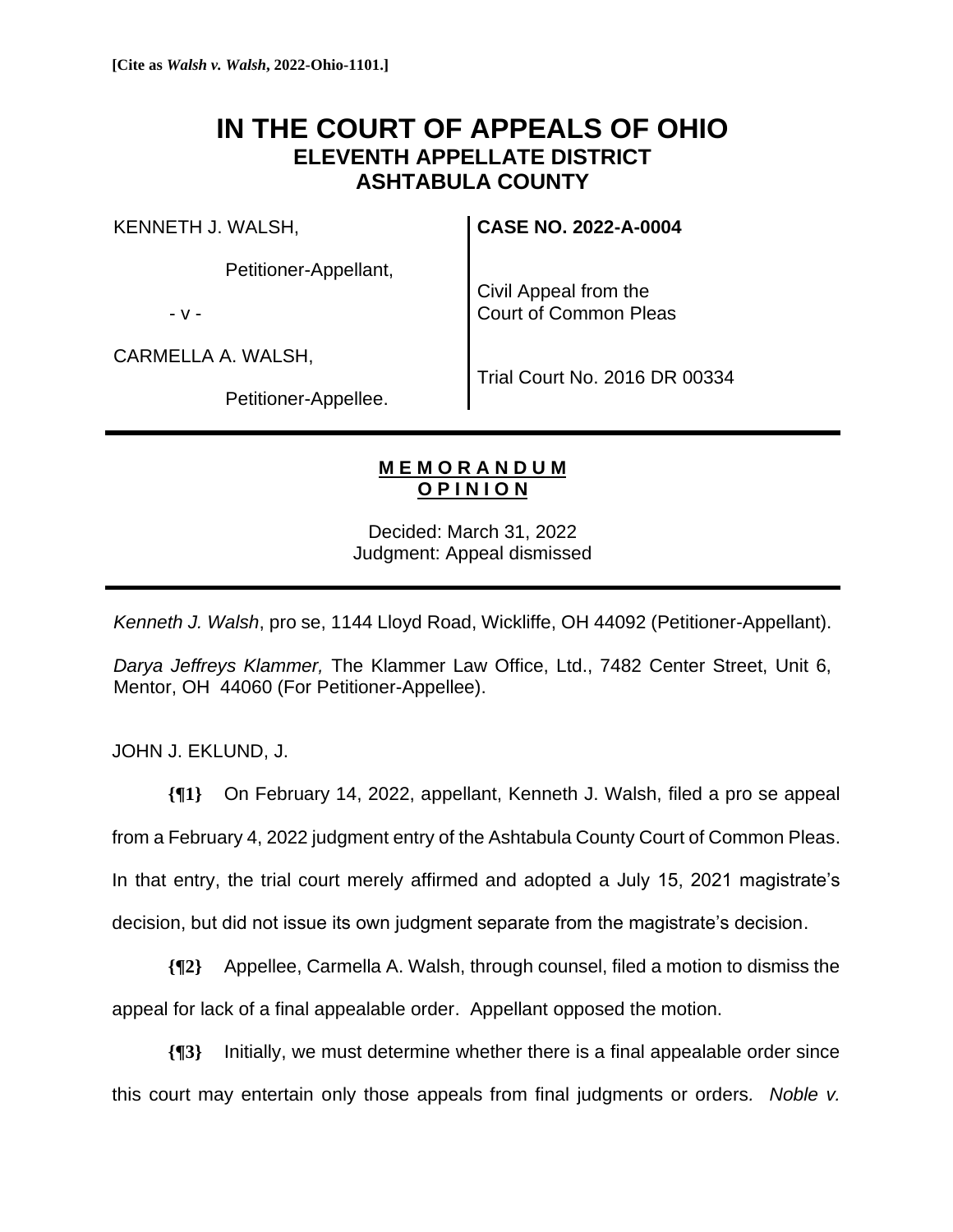## **IN THE COURT OF APPEALS OF OHIO ELEVENTH APPELLATE DISTRICT ASHTABULA COUNTY**

KENNETH J. WALSH,

Petitioner-Appellant,

- v -

Civil Appeal from the Court of Common Pleas

**CASE NO. 2022-A-0004**

CARMELLA A. WALSH,

Petitioner-Appellee.

Trial Court No. 2016 DR 00334

## **M E M O R A N D U M O P I N I O N**

Decided: March 31, 2022 Judgment: Appeal dismissed

*Kenneth J. Walsh*, pro se, 1144 Lloyd Road, Wickliffe, OH 44092 (Petitioner-Appellant).

*Darya Jeffreys Klammer,* The Klammer Law Office, Ltd., 7482 Center Street, Unit 6, Mentor, OH 44060 (For Petitioner-Appellee).

JOHN J. EKLUND, J.

**{¶1}** On February 14, 2022, appellant, Kenneth J. Walsh, filed a pro se appeal from a February 4, 2022 judgment entry of the Ashtabula County Court of Common Pleas. In that entry, the trial court merely affirmed and adopted a July 15, 2021 magistrate's decision, but did not issue its own judgment separate from the magistrate's decision.

**{¶2}** Appellee, Carmella A. Walsh, through counsel, filed a motion to dismiss the appeal for lack of a final appealable order. Appellant opposed the motion.

**{¶3}** Initially, we must determine whether there is a final appealable order since this court may entertain only those appeals from final judgments or orders*. Noble v.*